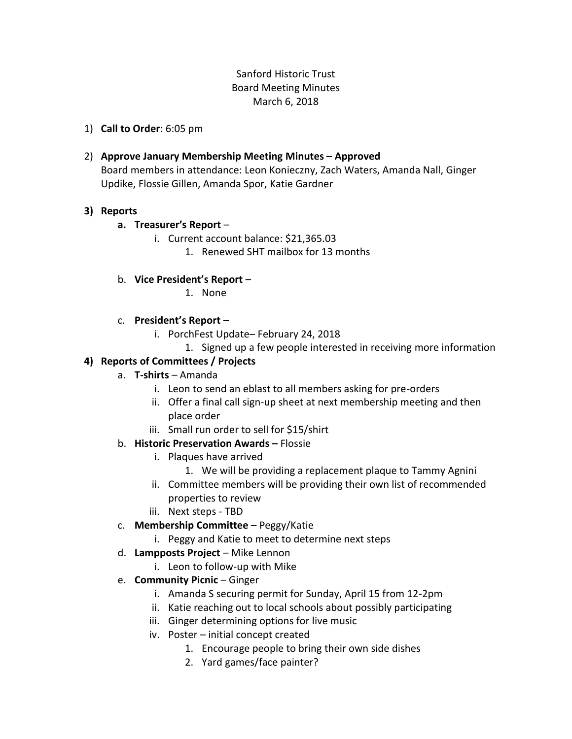## Sanford Historic Trust Board Meeting Minutes March 6, 2018

1) **Call to Order**: 6:05 pm

### 2) **Approve January Membership Meeting Minutes – Approved**

Board members in attendance: Leon Konieczny, Zach Waters, Amanda Nall, Ginger Updike, Flossie Gillen, Amanda Spor, Katie Gardner

### **3) Reports**

### **a. Treasurer's Report** –

- i. Current account balance: \$21,365.03
	- 1. Renewed SHT mailbox for 13 months

### b. **Vice President's Report** –

1. None

## c. **President's Report** –

- i. PorchFest Update– February 24, 2018
	- 1. Signed up a few people interested in receiving more information

# **4) Reports of Committees / Projects**

### a. **T-shirts** – Amanda

- i. Leon to send an eblast to all members asking for pre-orders
- ii. Offer a final call sign-up sheet at next membership meeting and then place order
- iii. Small run order to sell for \$15/shirt
- b. **Historic Preservation Awards –** Flossie
	- i. Plaques have arrived
		- 1. We will be providing a replacement plaque to Tammy Agnini
	- ii. Committee members will be providing their own list of recommended properties to review
	- iii. Next steps TBD
- c. **Membership Committee** Peggy/Katie
	- i. Peggy and Katie to meet to determine next steps
- d. **Lampposts Project** Mike Lennon
	- i. Leon to follow-up with Mike
- e. **Community Picnic** Ginger
	- i. Amanda S securing permit for Sunday, April 15 from 12-2pm
	- ii. Katie reaching out to local schools about possibly participating
	- iii. Ginger determining options for live music
	- iv. Poster initial concept created
		- 1. Encourage people to bring their own side dishes
		- 2. Yard games/face painter?